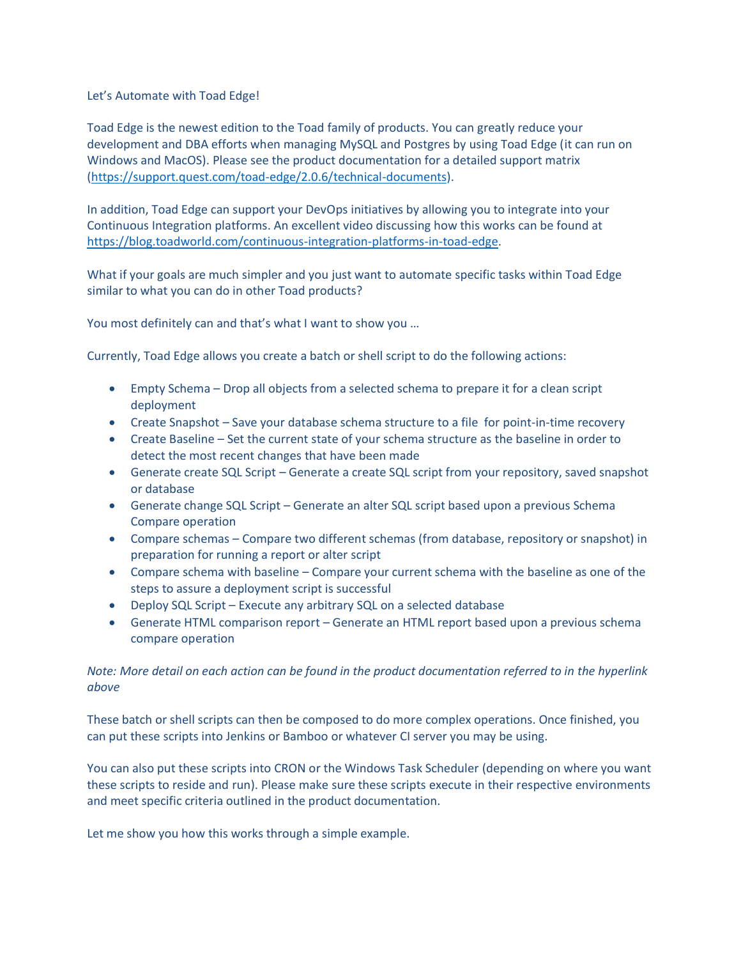Let's Automate with Toad Edge!

Toad Edge is the newest edition to the Toad family of products. You can greatly reduce your development and DBA efforts when managing MySQL and Postgres by using Toad Edge (it can run on Windows and MacOS). Please see the product documentation for a detailed support matrix [\(https://support.quest.com/toad-edge/2.0.6/technical-documents\)](https://support.quest.com/toad-edge/2.0.6/technical-documents).

In addition, Toad Edge can support your DevOps initiatives by allowing you to integrate into your Continuous Integration platforms. An excellent video discussing how this works can be found at [https://blog.toadworld.com/continuous-integration-platforms-in-toad-edge.](https://blog.toadworld.com/continuous-integration-platforms-in-toad-edge)

What if your goals are much simpler and you just want to automate specific tasks within Toad Edge similar to what you can do in other Toad products?

You most definitely can and that's what I want to show you …

Currently, Toad Edge allows you create a batch or shell script to do the following actions:

- Empty Schema Drop all objects from a selected schema to prepare it for a clean script deployment
- Create Snapshot Save your database schema structure to a file for point-in-time recovery
- Create Baseline Set the current state of your schema structure as the baseline in order to detect the most recent changes that have been made
- Generate create SQL Script Generate a create SQL script from your repository, saved snapshot or database
- Generate change SQL Script Generate an alter SQL script based upon a previous Schema Compare operation
- Compare schemas Compare two different schemas (from database, repository or snapshot) in preparation for running a report or alter script
- Compare schema with baseline Compare your current schema with the baseline as one of the steps to assure a deployment script is successful
- Deploy SQL Script Execute any arbitrary SQL on a selected database
- Generate HTML comparison report Generate an HTML report based upon a previous schema compare operation

## *Note: More detail on each action can be found in the product documentation referred to in the hyperlink above*

These batch or shell scripts can then be composed to do more complex operations. Once finished, you can put these scripts into Jenkins or Bamboo or whatever CI server you may be using.

You can also put these scripts into CRON or the Windows Task Scheduler (depending on where you want these scripts to reside and run). Please make sure these scripts execute in their respective environments and meet specific criteria outlined in the product documentation.

Let me show you how this works through a simple example.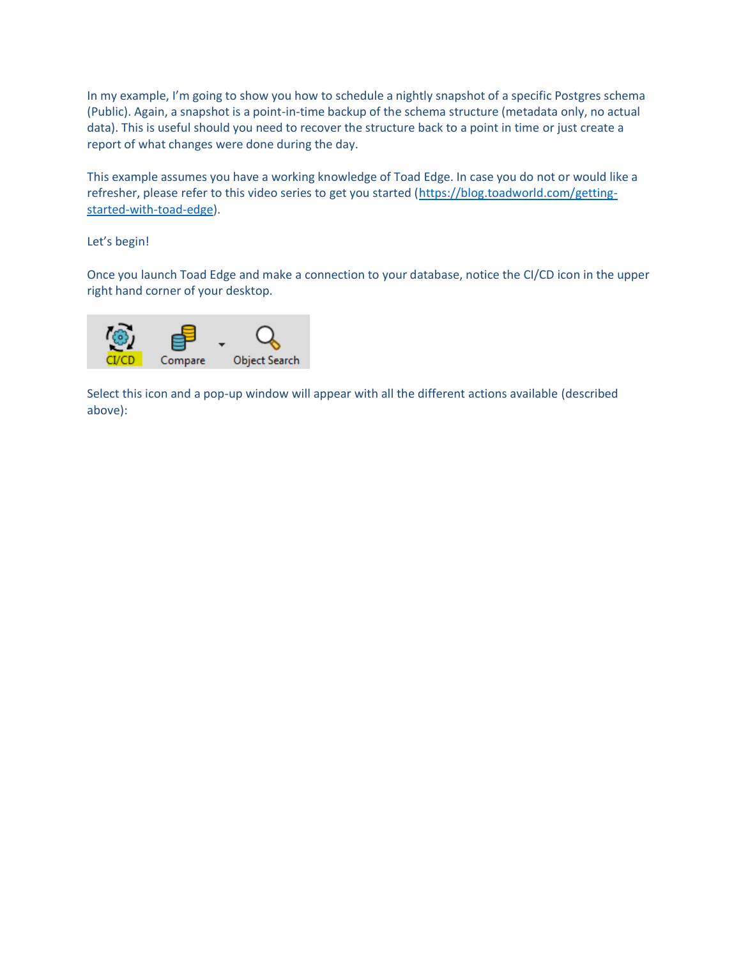In my example, I'm going to show you how to schedule a nightly snapshot of a specific Postgres schema (Public). Again, a snapshot is a point-in-time backup of the schema structure (metadata only, no actual data). This is useful should you need to recover the structure back to a point in time or just create a report of what changes were done during the day.

This example assumes you have a working knowledge of Toad Edge. In case you do not or would like a refresher, please refer to this video series to get you started [\(https://blog.toadworld.com/getting](https://blog.toadworld.com/getting-started-with-toad-edge)[started-with-toad-edge\)](https://blog.toadworld.com/getting-started-with-toad-edge).

Let's begin!

Once you launch Toad Edge and make a connection to your database, notice the CI/CD icon in the upper right hand corner of your desktop.



Select this icon and a pop-up window will appear with all the different actions available (described above):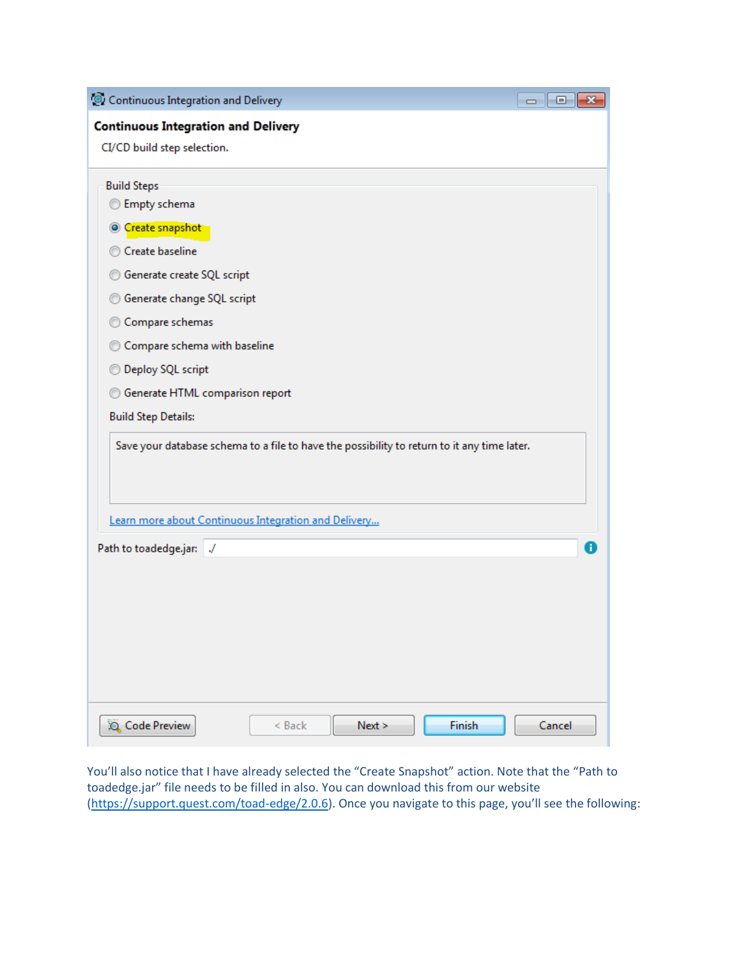| Continuous Integration and Delivery<br>$\begin{array}{c c c c c c} \hline \multicolumn{3}{c }{\mathbf{C}} & \multicolumn{3}{c }{\mathbf{C}} & \multicolumn{3}{c }{\mathbf{X}} \\\hline \multicolumn{3}{c }{\mathbf{C}} & \multicolumn{3}{c }{\mathbf{C}} & \multicolumn{3}{c }{\mathbf{S}} & \multicolumn{3}{c }{\mathbf{X}} \\\hline \multicolumn{3}{c }{\mathbf{C}} & \multicolumn{3}{c }{\mathbf{C}} & \multicolumn{3}{c }{\mathbf{S}} & \multicolumn{3}{c }{\mathbf{S}} \\\hline \multicolumn$ |
|----------------------------------------------------------------------------------------------------------------------------------------------------------------------------------------------------------------------------------------------------------------------------------------------------------------------------------------------------------------------------------------------------------------------------------------------------------------------------------------------------|
| <b>Continuous Integration and Delivery</b>                                                                                                                                                                                                                                                                                                                                                                                                                                                         |
| CI/CD build step selection.                                                                                                                                                                                                                                                                                                                                                                                                                                                                        |
| <b>Build Steps</b>                                                                                                                                                                                                                                                                                                                                                                                                                                                                                 |
| <b>Empty schema</b>                                                                                                                                                                                                                                                                                                                                                                                                                                                                                |
| © Create snapshot                                                                                                                                                                                                                                                                                                                                                                                                                                                                                  |
| Create baseline                                                                                                                                                                                                                                                                                                                                                                                                                                                                                    |
| Generate create SQL script                                                                                                                                                                                                                                                                                                                                                                                                                                                                         |
| Generate change SQL script                                                                                                                                                                                                                                                                                                                                                                                                                                                                         |
| © Compare schemas                                                                                                                                                                                                                                                                                                                                                                                                                                                                                  |
| Compare schema with baseline<br>$\circledcirc$                                                                                                                                                                                                                                                                                                                                                                                                                                                     |
| <b>Deploy SQL script</b>                                                                                                                                                                                                                                                                                                                                                                                                                                                                           |
| <b>Generate HTML comparison report</b>                                                                                                                                                                                                                                                                                                                                                                                                                                                             |
| <b>Build Step Details:</b>                                                                                                                                                                                                                                                                                                                                                                                                                                                                         |
| Save your database schema to a file to have the possibility to return to it any time later.                                                                                                                                                                                                                                                                                                                                                                                                        |
|                                                                                                                                                                                                                                                                                                                                                                                                                                                                                                    |
|                                                                                                                                                                                                                                                                                                                                                                                                                                                                                                    |
| Learn more about Continuous Integration and Delivery                                                                                                                                                                                                                                                                                                                                                                                                                                               |
| 8<br>Path to toadedge.jar: /                                                                                                                                                                                                                                                                                                                                                                                                                                                                       |
|                                                                                                                                                                                                                                                                                                                                                                                                                                                                                                    |
|                                                                                                                                                                                                                                                                                                                                                                                                                                                                                                    |
|                                                                                                                                                                                                                                                                                                                                                                                                                                                                                                    |
|                                                                                                                                                                                                                                                                                                                                                                                                                                                                                                    |
|                                                                                                                                                                                                                                                                                                                                                                                                                                                                                                    |
|                                                                                                                                                                                                                                                                                                                                                                                                                                                                                                    |
|                                                                                                                                                                                                                                                                                                                                                                                                                                                                                                    |
| Finish<br>Q Code Preview<br>Next ><br>Cancel<br>$<$ Back                                                                                                                                                                                                                                                                                                                                                                                                                                           |

You'll also notice that I have already selected the "Create Snapshot" action. Note that the "Path to toadedge.jar" file needs to be filled in also. You can download this from our website [\(https://support.quest.com/toad-edge/2.0.6\)](https://support.quest.com/toad-edge/2.0.6). Once you navigate to this page, you'll see the following: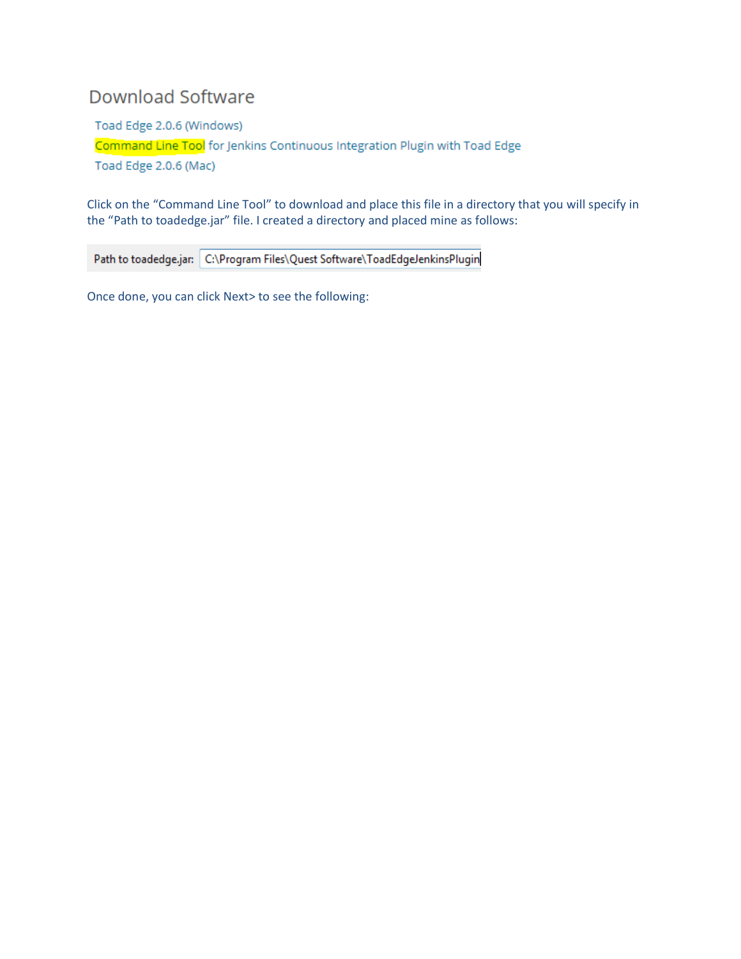## **Download Software**

Toad Edge 2.0.6 (Windows) Command Line Tool for Jenkins Continuous Integration Plugin with Toad Edge Toad Edge 2.0.6 (Mac)

Click on the "Command Line Tool" to download and place this file in a directory that you will specify in the "Path to toadedge.jar" file. I created a directory and placed mine as follows:

Path to toadedge.jar: C:\Program Files\Quest Software\ToadEdgeJenkinsPlugin

Once done, you can click Next> to see the following: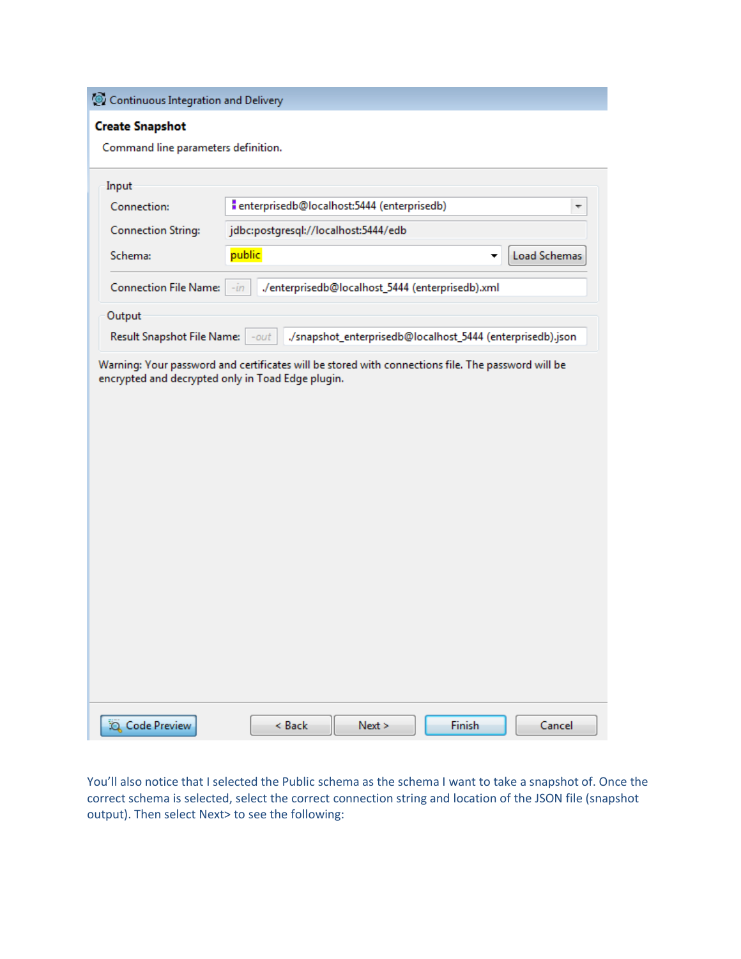Continuous Integration and Delivery

## **Create Snapshot**

Command line parameters definition.

| Connection:                       | " enterprisedb@localhost:5444 (enterprisedb) |                                                            |   | ▼            |  |
|-----------------------------------|----------------------------------------------|------------------------------------------------------------|---|--------------|--|
| <b>Connection String:</b>         | jdbc:postgresql://localhost:5444/edb         |                                                            |   |              |  |
| Schema:                           | public                                       |                                                            | ▼ | Load Schemas |  |
| <b>Connection File Name:</b>      | $-in$                                        | ./enterprisedb@localhost_5444 (enterprisedb).xml           |   |              |  |
| Output                            |                                              |                                                            |   |              |  |
| Result Snapshot File Name:   -out |                                              | ./snapshot_enterprisedb@localhost_5444 (enterprisedb).json |   |              |  |
|                                   |                                              |                                                            |   |              |  |
|                                   |                                              |                                                            |   |              |  |

You'll also notice that I selected the Public schema as the schema I want to take a snapshot of. Once the correct schema is selected, select the correct connection string and location of the JSON file (snapshot output). Then select Next> to see the following: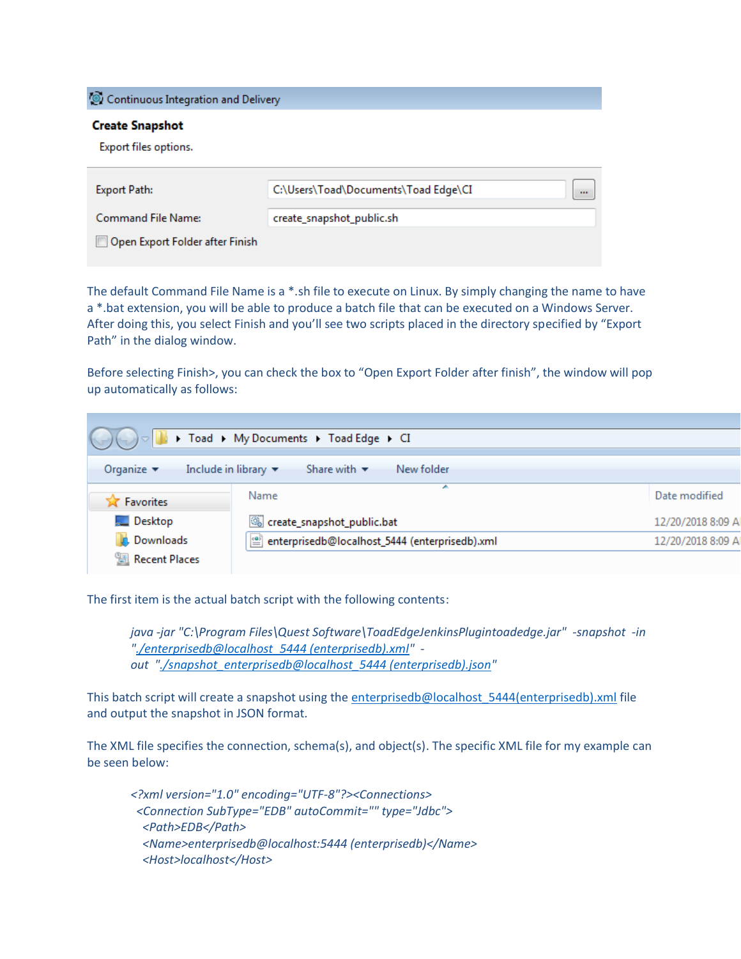Continuous Integration and Delivery

## **Create Snapshot**

Export files options.

| Export Path:                           | C:\Users\Toad\Documents\Toad Edge\CI | $\cdots$ |
|----------------------------------------|--------------------------------------|----------|
| Command File Name:                     | create_snapshot_public.sh            |          |
| Open Export Folder after Finish  <br>E |                                      |          |

The default Command File Name is a \*.sh file to execute on Linux. By simply changing the name to have a \*.bat extension, you will be able to produce a batch file that can be executed on a Windows Server. After doing this, you select Finish and you'll see two scripts placed in the directory specified by "Export Path" in the dialog window.

Before selecting Finish>, you can check the box to "Open Export Folder after finish", the window will pop up automatically as follows:

|                               | $\bigotimes_{i=1}^n \bigotimes_{j=1}^n \bigotimes_{j=1}^n V_j$ Toad $\rightarrow$ My Documents $\rightarrow$ Toad Edge $\rightarrow$ CI |                   |
|-------------------------------|-----------------------------------------------------------------------------------------------------------------------------------------|-------------------|
|                               |                                                                                                                                         |                   |
| Organize $\blacktriangledown$ | Include in library $\blacktriangledown$<br>Share with $\blacktriangledown$<br>New folder                                                |                   |
|                               |                                                                                                                                         |                   |
|                               | ×.<br>Name                                                                                                                              | Date modified     |
| Favorites                     |                                                                                                                                         |                   |
| <b>Desktop</b>                |                                                                                                                                         |                   |
|                               | create_snapshot_public.bat                                                                                                              | 12/20/2018 8:09 A |
| <b>D</b> Downloads            | enterprisedb@localhost_5444 (enterprisedb).xml                                                                                          | 12/20/2018 8:09 A |
| Recent Places                 |                                                                                                                                         |                   |
|                               |                                                                                                                                         |                   |

The first item is the actual batch script with the following contents:

*java -jar "C:\Program Files\Quest Software\ToadEdgeJenkinsPlugintoadedge.jar" -snapshot -in ["./enterprisedb@localhost\\_5444 \(enterprisedb\).xml"](mailto:./enterprisedb@localhost_5444%20(enterprisedb).xml) out ["./snapshot\\_enterprisedb@localhost\\_5444 \(enterprisedb\).json"](mailto:./snapshot_enterprisedb@localhost_5444%20(enterprisedb).json)*

This batch script will create a snapshot using the enterprisedb@localhost 5444(enterprisedb).xml file and output the snapshot in JSON format.

The XML file specifies the connection, schema(s), and object(s). The specific XML file for my example can be seen below:

*<?xml version="1.0" encoding="UTF-8"?><Connections> <Connection SubType="EDB" autoCommit="" type="Jdbc"> <Path>EDB</Path> <Name>enterprisedb@localhost:5444 (enterprisedb)</Name> <Host>localhost</Host>*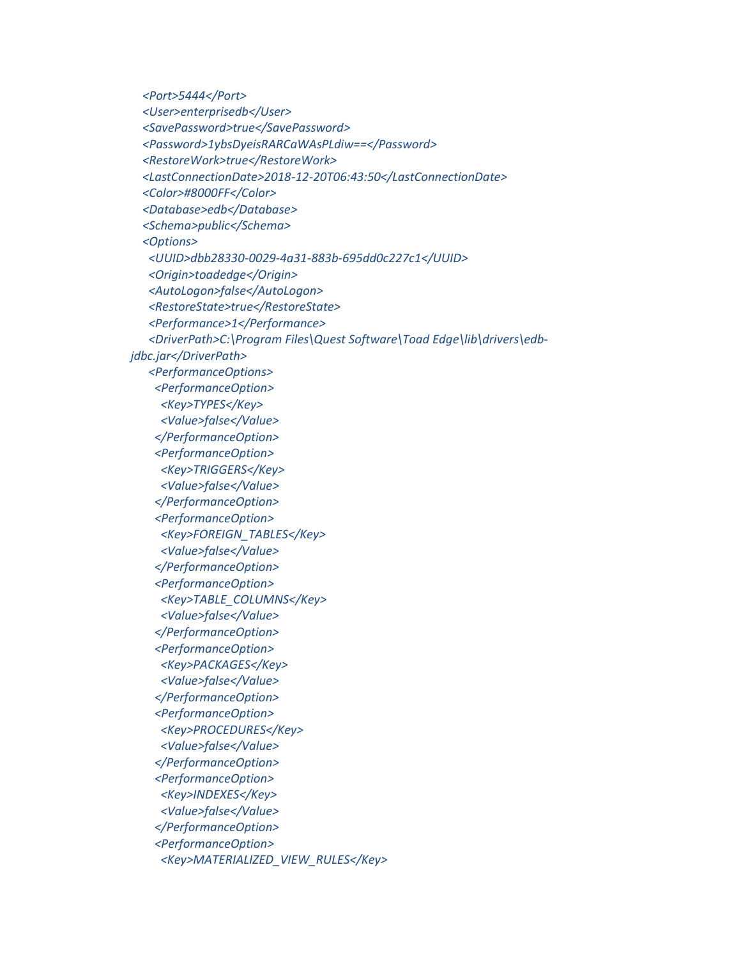*<Port>5444</Port> <User>enterprisedb</User> <SavePassword>true</SavePassword> <Password>1ybsDyeisRARCaWAsPLdiw==</Password> <RestoreWork>true</RestoreWork> <LastConnectionDate>2018-12-20T06:43:50</LastConnectionDate> <Color>#8000FF</Color> <Database>edb</Database> <Schema>public</Schema> <Options> <UUID>dbb28330-0029-4a31-883b-695dd0c227c1</UUID> <Origin>toadedge</Origin> <AutoLogon>false</AutoLogon> <RestoreState>true</RestoreState> <Performance>1</Performance> <DriverPath>C:\Program Files\Quest Software\Toad Edge\lib\drivers\edbjdbc.jar</DriverPath> <PerformanceOptions> <PerformanceOption> <Key>TYPES</Key> <Value>false</Value> </PerformanceOption> <PerformanceOption> <Key>TRIGGERS</Key> <Value>false</Value> </PerformanceOption> <PerformanceOption> <Key>FOREIGN\_TABLES</Key> <Value>false</Value> </PerformanceOption> <PerformanceOption> <Key>TABLE\_COLUMNS</Key> <Value>false</Value> </PerformanceOption> <PerformanceOption> <Key>PACKAGES</Key> <Value>false</Value> </PerformanceOption> <PerformanceOption> <Key>PROCEDURES</Key> <Value>false</Value> </PerformanceOption> <PerformanceOption> <Key>INDEXES</Key> <Value>false</Value> </PerformanceOption> <PerformanceOption> <Key>MATERIALIZED\_VIEW\_RULES</Key>*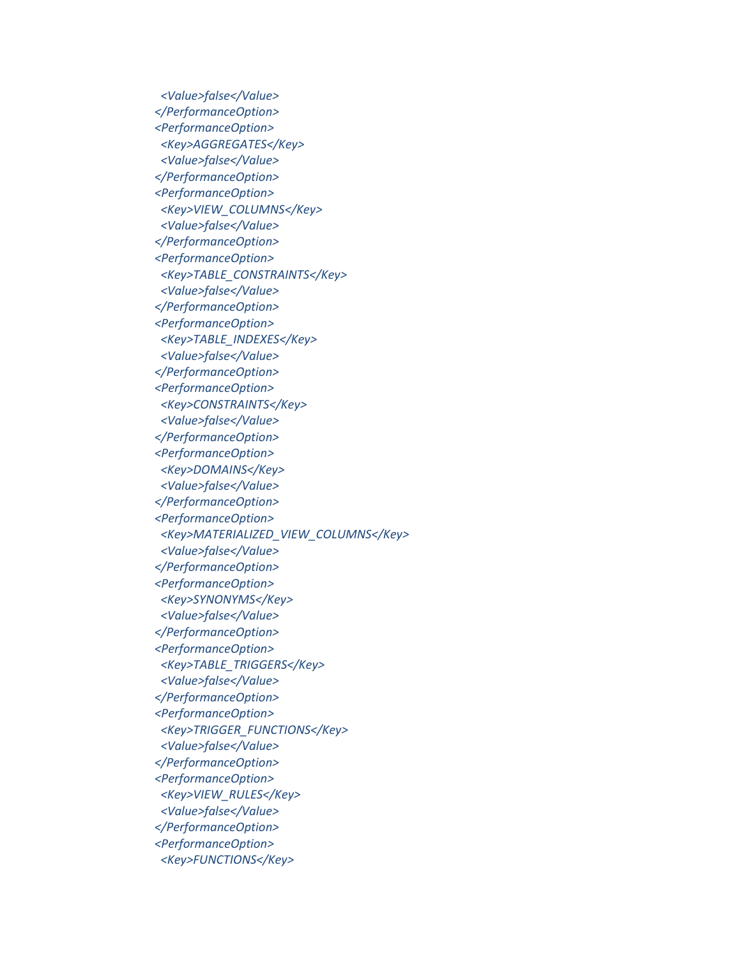*<Value>false</Value> </PerformanceOption> <PerformanceOption> <Key>AGGREGATES</Key> <Value>false</Value> </PerformanceOption> <PerformanceOption> <Key>VIEW\_COLUMNS</Key> <Value>false</Value> </PerformanceOption> <PerformanceOption> <Key>TABLE\_CONSTRAINTS</Key> <Value>false</Value> </PerformanceOption> <PerformanceOption> <Key>TABLE\_INDEXES</Key> <Value>false</Value> </PerformanceOption> <PerformanceOption> <Key>CONSTRAINTS</Key> <Value>false</Value> </PerformanceOption> <PerformanceOption> <Key>DOMAINS</Key> <Value>false</Value> </PerformanceOption> <PerformanceOption> <Key>MATERIALIZED\_VIEW\_COLUMNS</Key> <Value>false</Value> </PerformanceOption> <PerformanceOption> <Key>SYNONYMS</Key> <Value>false</Value> </PerformanceOption> <PerformanceOption> <Key>TABLE\_TRIGGERS</Key> <Value>false</Value> </PerformanceOption> <PerformanceOption> <Key>TRIGGER\_FUNCTIONS</Key> <Value>false</Value> </PerformanceOption> <PerformanceOption> <Key>VIEW\_RULES</Key> <Value>false</Value> </PerformanceOption> <PerformanceOption> <Key>FUNCTIONS</Key>*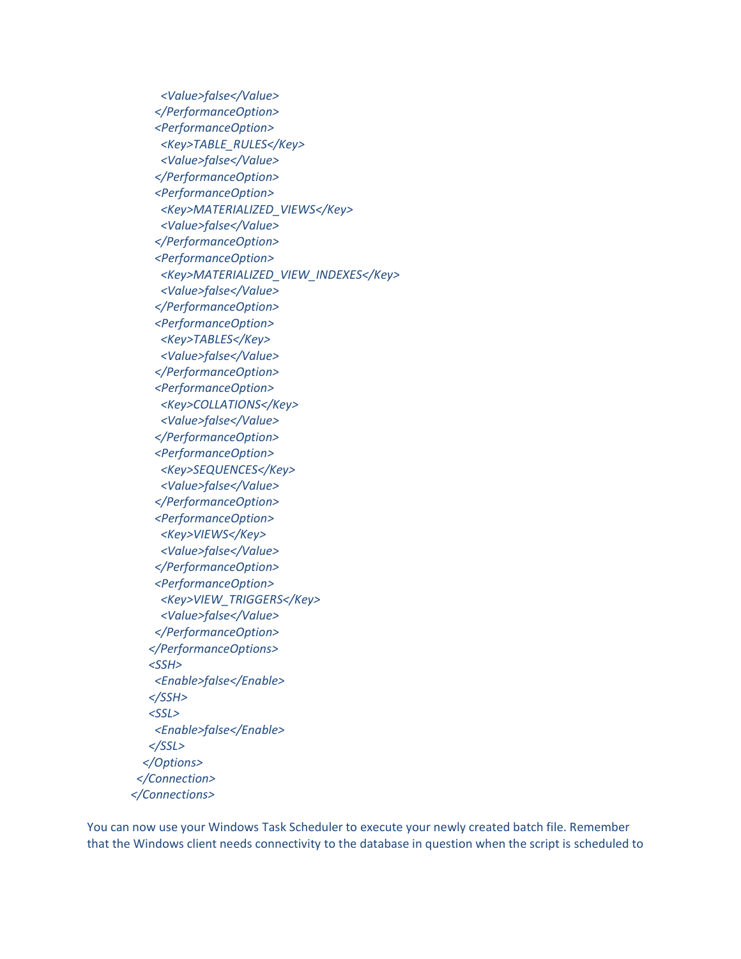*<Value>false</Value> </PerformanceOption> <PerformanceOption> <Key>TABLE\_RULES</Key> <Value>false</Value> </PerformanceOption> <PerformanceOption> <Key>MATERIALIZED\_VIEWS</Key> <Value>false</Value> </PerformanceOption> <PerformanceOption> <Key>MATERIALIZED\_VIEW\_INDEXES</Key> <Value>false</Value> </PerformanceOption> <PerformanceOption> <Key>TABLES</Key> <Value>false</Value> </PerformanceOption> <PerformanceOption> <Key>COLLATIONS</Key> <Value>false</Value> </PerformanceOption> <PerformanceOption> <Key>SEQUENCES</Key> <Value>false</Value> </PerformanceOption> <PerformanceOption> <Key>VIEWS</Key> <Value>false</Value> </PerformanceOption> <PerformanceOption> <Key>VIEW\_TRIGGERS</Key> <Value>false</Value> </PerformanceOption> </PerformanceOptions> <SSH> <Enable>false</Enable> </SSH> <SSL> <Enable>false</Enable> </SSL> </Options> </Connection> </Connections>*

You can now use your Windows Task Scheduler to execute your newly created batch file. Remember that the Windows client needs connectivity to the database in question when the script is scheduled to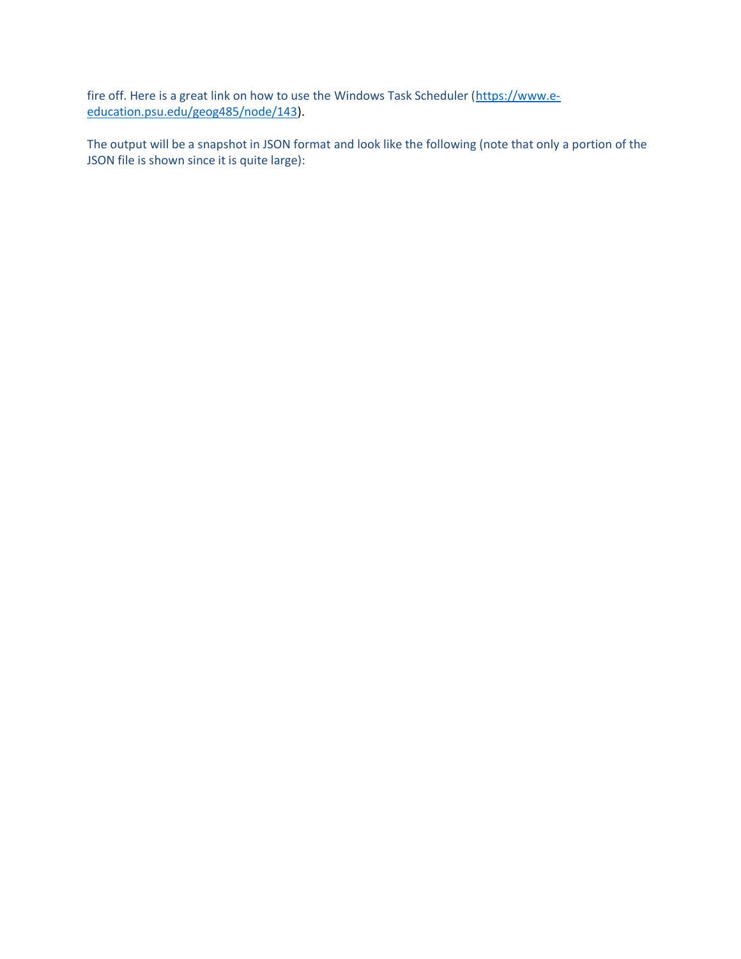fire off. Here is a great link on how to use the Windows Task Scheduler [\(https://www.e](https://www.e-education.psu.edu/geog485/node/143)[education.psu.edu/geog485/node/143\)](https://www.e-education.psu.edu/geog485/node/143).

The output will be a snapshot in JSON format and look like the following (note that only a portion of the JSON file is shown since it is quite large):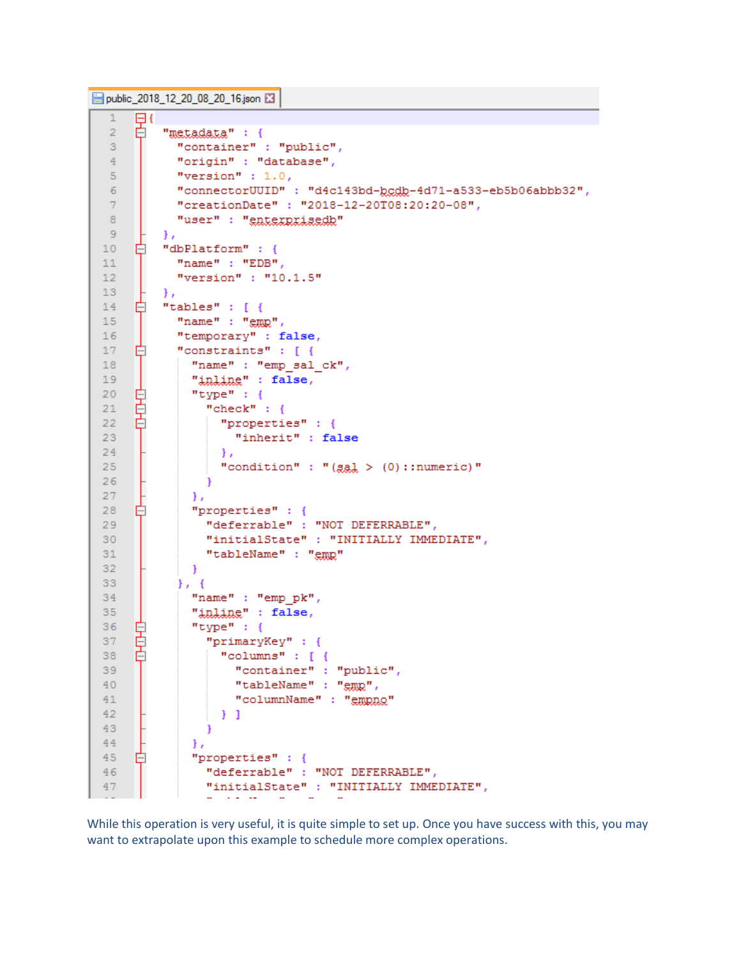```
public 2018 12 20 08 20 16 json E3
```

```
\mathbf{1}日
     白
         "metadata" : {
 \overline{2}"container" : "public",
 \mathbf 3"origin" : "database",
 4
            "version" : 1.0,
 5
            "connectorUUID" : "d4c143bd-bcdb-4d71-a533-eb5b06abbb32",
 6
 \overline{7}"creationDate": "2018-12-20T08:20:20-08",
            "user" : "enterprisedb"
 8
 \overline{9}\mathbf{H}┟
10<sub>1</sub>"dbPlatform" : {
            "name" : "EDB",
1112<sub>1</sub>"version" : "10.1.5"
13<sub>1</sub>\mathcal{L}"tables" : [ {
14
     Ė
15
            "name" : "gmp","temporary" : false,
16"constraints" : [ {
17Ė
18
              "name" : "emp sal ck",
19
              "inline": false,
     阜
20
              "type" : \{21"check" : \{甴
22
                   "properties" : {
23
                     "inherit" : false
24
                  \rightarrow"condition" : "(g_{\alpha 1} > (0) ::numeric)"
25
26
                 €
              \mathbf{F}27
28
     Ė
              "properties" : {
                 "deferrable" : "NOT DEFERRABLE",
29
30
                 "initialState" : "INITIALLY IMMEDIATE",
31"tableName" : "gmp"
32\mathcal{F}33<sub>1</sub>\}, {
34
               "name" : "emp pk",
              "inline" : false,
35
36
              "type" : \{₿
37
     ₿
                 "primaryKey" : {
     甴
                   "columns" : [ {
38
                     "container" : "public",
39
40<sup>°</sup>"tableName" : "emp",
41"columnName" : "empno"
                  \rightarrow 1
42<sub>1</sub>43
                 Ŧ
44Η,
45
     Ė
               "properties" : {
                 "deferrable" : "NOT DEFERRABLE",
4647
                 "initialState" : "INITIALLY IMMEDIATE",
                    \sim 10^{-1} and \sim 10^{-1}\sim
```
While this operation is very useful, it is quite simple to set up. Once you have success with this, you may want to extrapolate upon this example to schedule more complex operations.